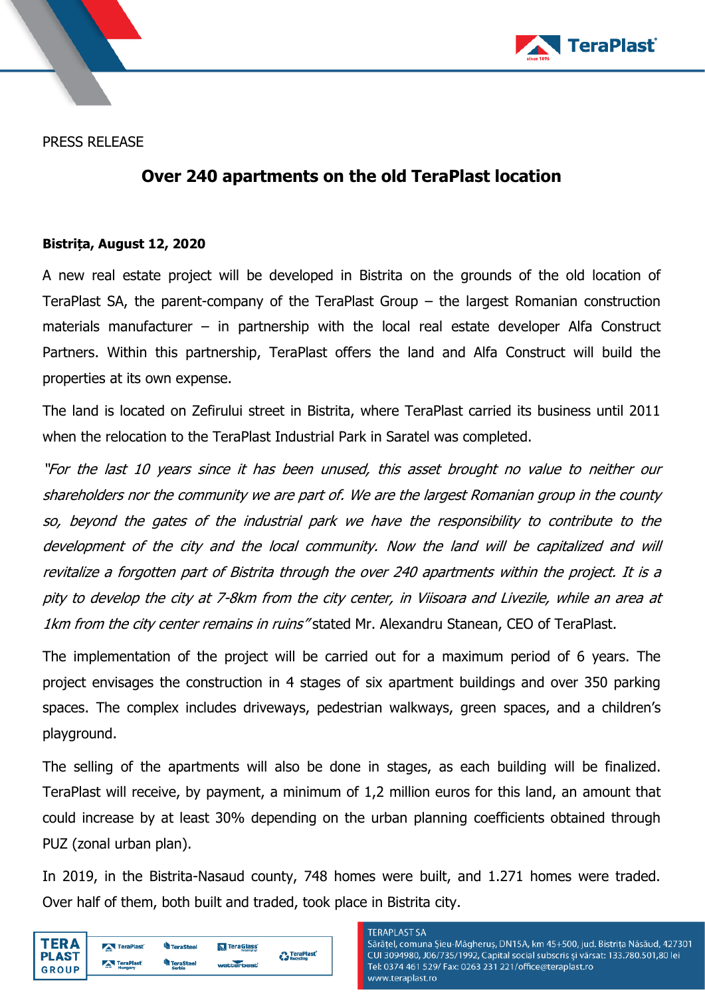

PRESS RELEASE

# **Over 240 apartments on the old TeraPlast location**

### **Bistrița, August 12, 2020**

A new real estate project will be developed in Bistrita on the grounds of the old location of TeraPlast SA, the parent-company of the TeraPlast Group – the largest Romanian construction materials manufacturer – in partnership with the local real estate developer Alfa Construct Partners. Within this partnership, TeraPlast offers the land and Alfa Construct will build the properties at its own expense.

The land is located on Zefirului street in Bistrita, where TeraPlast carried its business until 2011 when the relocation to the TeraPlast Industrial Park in Saratel was completed.

"For the last 10 years since it has been unused, this asset brought no value to neither our shareholders nor the community we are part of. We are the largest Romanian group in the county so, beyond the gates of the industrial park we have the responsibility to contribute to the development of the city and the local community. Now the land will be capitalized and will revitalize a forgotten part of Bistrita through the over 240 apartments within the project. It is a pity to develop the city at 7-8km from the city center, in Viisoara and Livezile, while an area at 1km from the city center remains in ruins" stated Mr. Alexandru Stanean, CEO of TeraPlast.

The implementation of the project will be carried out for a maximum period of 6 years. The project envisages the construction in 4 stages of six apartment buildings and over 350 parking spaces. The complex includes driveways, pedestrian walkways, green spaces, and a children's playground.

The selling of the apartments will also be done in stages, as each building will be finalized. TeraPlast will receive, by payment, a minimum of 1,2 million euros for this land, an amount that could increase by at least 30% depending on the urban planning coefficients obtained through PUZ (zonal urban plan).

In 2019, in the Bistrita-Nasaud county, 748 homes were built, and 1.271 homes were traded. Over half of them, both built and traded, took place in Bistrita city.

|              | TeraPlast | <sup>u</sup> ll TeraSteel | <b>TeraGlass</b><br>Percettre pl col | TeraPlast <sup>®</sup> |
|--------------|-----------|---------------------------|--------------------------------------|------------------------|
| <b>PLAST</b> | TeraPlast | <b>TeraSteel</b>          | wetterbest                           | Recycling              |
| <b>GROUP</b> | Hungary   | Serbia                    |                                      |                        |

#### **TERAPLAST SA**

Sărățel, comuna Șieu-Măgheruș, DN15A, km 45+500, jud. Bistrița Năsăud, 427301 CUI 3094980, J06/735/1992, Capital social subscris și vărsat: 133.780.501,80 lei Tel: 0374 461 529/ Fax: 0263 231 221/office@teraplast.ro www.teraplast.ro